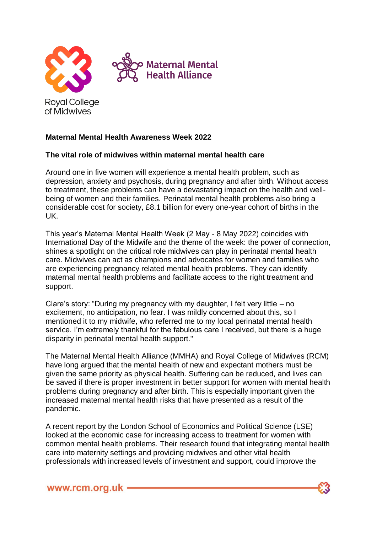

## **Maternal Mental Health Awareness Week 2022**

## **The vital role of midwives within maternal mental health care**

Around one in five women will experience a mental health problem, such as depression, anxiety and psychosis, during pregnancy and after birth. Without access to treatment, these problems can have a devastating impact on the health and wellbeing of women and their families. Perinatal mental health problems also bring a considerable cost for society, £8.1 billion for every one-year cohort of births in the UK.

This year's Maternal Mental Health Week (2 May - 8 May 2022) coincides with International Day of the Midwife and the theme of the week: the power of connection, shines a spotlight on the critical role midwives can play in perinatal mental health care. Midwives can act as champions and advocates for women and families who are experiencing pregnancy related mental health problems. They can identify maternal mental health problems and facilitate access to the right treatment and support.

Clare's story: "During my pregnancy with my daughter, I felt very little – no excitement, no anticipation, no fear. I was mildly concerned about this, so I mentioned it to my midwife, who referred me to my local perinatal mental health service. I'm extremely thankful for the fabulous care I received, but there is a huge disparity in perinatal mental health support."

The Maternal Mental Health Alliance (MMHA) and Royal College of Midwives (RCM) have long argued that the mental health of new and expectant mothers must be given the same priority as physical health. Suffering can be reduced, and lives can be saved if there is proper investment in better support for women with mental health problems during pregnancy and after birth. This is especially important given the increased maternal mental health risks that have presented as a result of the pandemic.

A recent report by the London School of Economics and Political Science (LSE) looked at the economic case for increasing access to treatment for women with common mental health problems. Their research found that integrating mental health care into maternity settings and providing midwives and other vital health professionals with increased levels of investment and support, could improve the